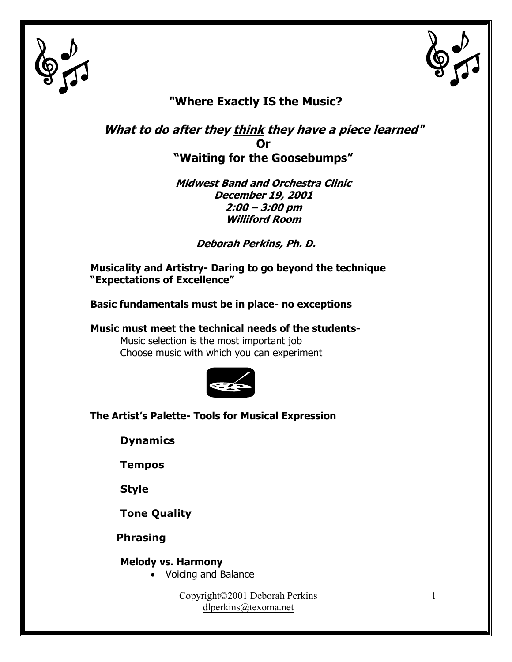



## **"Where Exactly IS the Music?**

**What to do after they think they have a piece learned" Or "Waiting for the Goosebumps"** 

> **Midwest Band and Orchestra Clinic December 19, 2001 2:00 – 3:00 pm Williford Room**

> > **Deborah Perkins, Ph. D.**

**Musicality and Artistry- Daring to go beyond the technique "Expectations of Excellence"** 

**Basic fundamentals must be in place- no exceptions** 

**Music must meet the technical needs of the students-**Music selection is the most important job Choose music with which you can experiment



**The Artist's Palette- Tools for Musical Expression** 

**Dynamics** 

**Tempos** 

**Style** 

**Tone Quality** 

 **Phrasing**

**Melody vs. Harmony** 

• Voicing and Balance

Copyright©2001 Deborah Perkins dlperkins@texoma.net